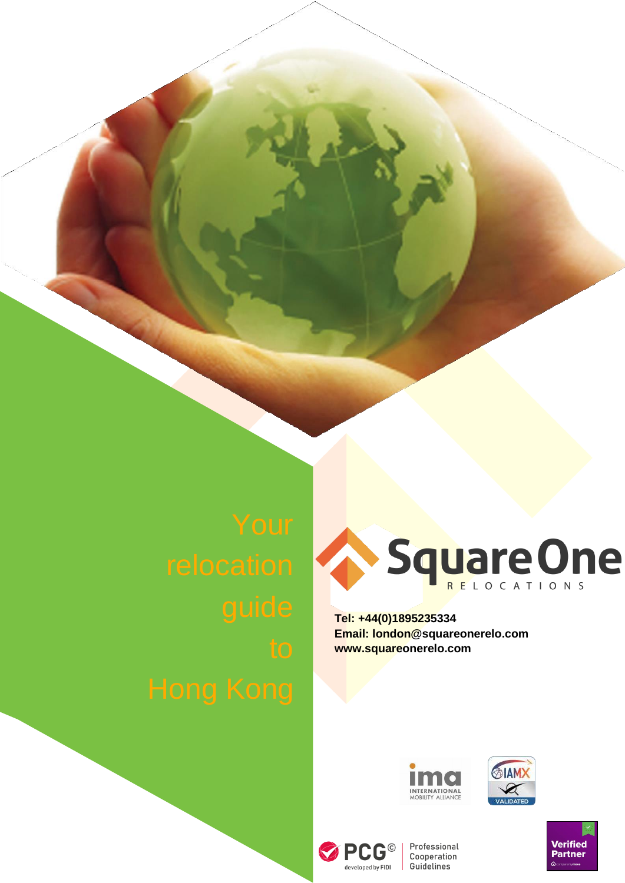

**Tel: +44(0)1895235334 Email: [london@squareonerelo.com](mailto:london@squareonerelo.com) [www.squareonerelo.com](http://www.squareonerelo.com/)**









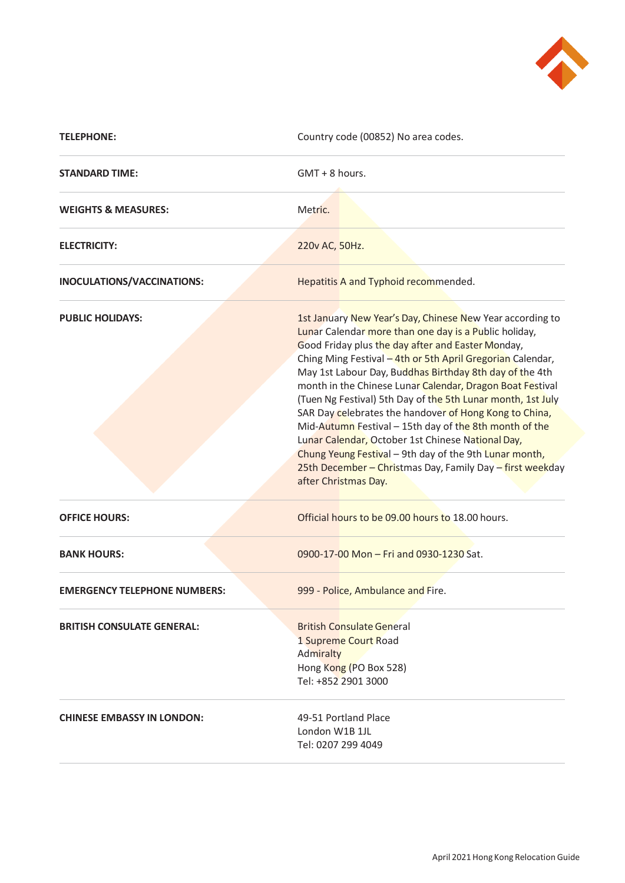

| <b>TELEPHONE:</b>                   | Country code (00852) No area codes.                                                                                                                                                                                                                                                                                                                                                                                                                                                                                                                                                                                                                                                                                                                  |
|-------------------------------------|------------------------------------------------------------------------------------------------------------------------------------------------------------------------------------------------------------------------------------------------------------------------------------------------------------------------------------------------------------------------------------------------------------------------------------------------------------------------------------------------------------------------------------------------------------------------------------------------------------------------------------------------------------------------------------------------------------------------------------------------------|
| <b>STANDARD TIME:</b>               | GMT + 8 hours.                                                                                                                                                                                                                                                                                                                                                                                                                                                                                                                                                                                                                                                                                                                                       |
| <b>WEIGHTS &amp; MEASURES:</b>      | Metric.                                                                                                                                                                                                                                                                                                                                                                                                                                                                                                                                                                                                                                                                                                                                              |
| <b>ELECTRICITY:</b>                 | 220v AC, 50Hz.                                                                                                                                                                                                                                                                                                                                                                                                                                                                                                                                                                                                                                                                                                                                       |
| INOCULATIONS/VACCINATIONS:          | Hepatitis A and Typhoid recommended.                                                                                                                                                                                                                                                                                                                                                                                                                                                                                                                                                                                                                                                                                                                 |
| <b>PUBLIC HOLIDAYS:</b>             | 1st January New Year's Day, Chinese New Year according to<br>Lunar Calendar more than one day is a Public holiday,<br>Good Friday plus the day after and Easter Monday,<br>Ching Ming Festival - 4th or 5th April Gregorian Calendar,<br>May 1st Labour Day, Buddhas Birthday 8th day of the 4th<br>month in the Chinese Lunar Calendar, Dragon Boat Festival<br>(Tuen Ng Festival) 5th Day of the 5th Lunar month, 1st July<br>SAR Day celebrates the handover of Hong Kong to China,<br>Mid-Autumn Festival - 15th day of the 8th month of the<br>Lunar Calendar, October 1st Chinese National Day,<br>Chung Yeung Festival - 9th day of the 9th Lunar month,<br>25th December - Christmas Day, Family Day - first weekday<br>after Christmas Day. |
| <b>OFFICE HOURS:</b>                | Official hours to be 09.00 hours to 18.00 hours.                                                                                                                                                                                                                                                                                                                                                                                                                                                                                                                                                                                                                                                                                                     |
| <b>BANK HOURS:</b>                  | 0900-17-00 Mon - Fri and 0930-1230 Sat.                                                                                                                                                                                                                                                                                                                                                                                                                                                                                                                                                                                                                                                                                                              |
| <b>EMERGENCY TELEPHONE NUMBERS:</b> | 999 - Police, Ambulance and Fire.                                                                                                                                                                                                                                                                                                                                                                                                                                                                                                                                                                                                                                                                                                                    |
| <b>BRITISH CONSULATE GENERAL:</b>   | <b>British Consulate General</b><br>1 Supreme Court Road<br>Admiralty<br>Hong Kong (PO Box 528)<br>Tel: +852 2901 3000                                                                                                                                                                                                                                                                                                                                                                                                                                                                                                                                                                                                                               |
| <b>CHINESE EMBASSY IN LONDON:</b>   | 49-51 Portland Place<br>London W1B 1JL<br>Tel: 0207 299 4049                                                                                                                                                                                                                                                                                                                                                                                                                                                                                                                                                                                                                                                                                         |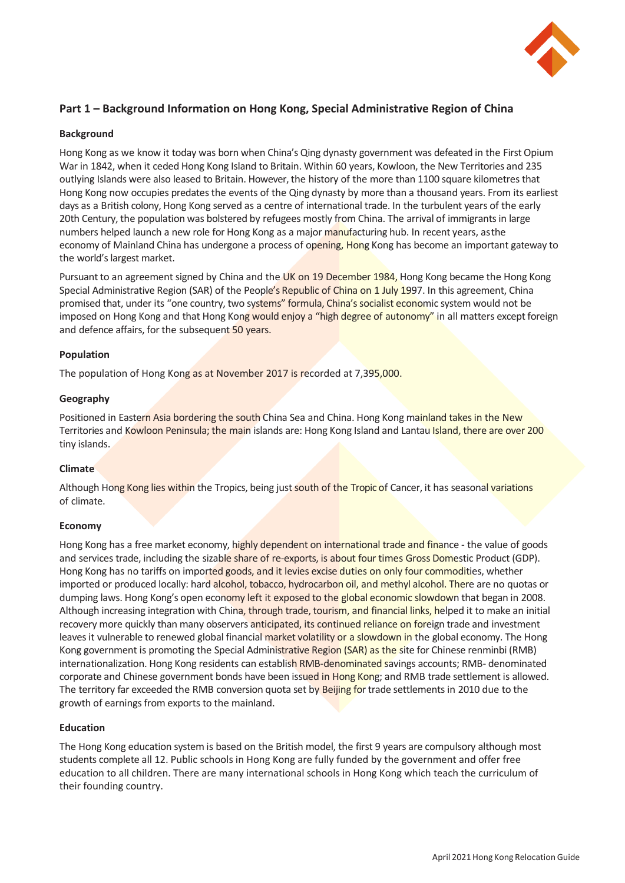

# **Part 1 – Background Information on Hong Kong, Special Administrative Region of China**

## **Background**

Hong Kong as we know it today was born when China's Qing dynasty government was defeated in the First Opium War in 1842, when it ceded Hong Kong Island to Britain. Within 60 years, Kowloon, the New Territories and 235 outlying Islands were also leased to Britain. However, the history of the more than 1100 square kilometres that Hong Kong now occupies predates the events of the Qing dynasty by more than a thousand years. From its earliest days as a British colony, Hong Kong served as a centre of international trade. In the turbulent years of the early 20th Century, the population was bolstered by refugees mostly from China. The arrival of immigrants in large numbers helped launch a new role for Hong Kong as a major manufacturing hub. In recent years, asthe economy of Mainland China has undergone a process of opening, Hong Kong has become an important gateway to the world's largest market.

Pursuant to an agreement signed by China and the UK on 19 December 1984, Hong Kong became the Hong Kong Special Administrative Region (SAR) of the People's Republic of China on 1 July 1997. In this agreement, China promised that, under its "one country, two systems" formula, China's socialist economic system would not be imposed on Hong Kong and that Hong Kong would enjoy a "high degree of autonomy" in all matters except foreign and defence affairs, for the subsequent 50 years.

#### **Population**

The population of Hong Kong as at November 2017 is recorded at 7,395,000.

## **Geography**

Positioned in Eastern Asia bordering the south China Sea and China. Hong Kong mainland takes in the New Territories and Kowloon Peninsula; the main islands are: Hong Kong Island and Lantau Island, there are over 200 tiny islands.

#### **Climate**

Although Hong Kong lies within the Tropics, being just south of the Tropic of Cancer, it has seasonal variations of climate.

#### **Economy**

Hong Kong has a free market economy, highly dependent on international trade and finance - the value of goods and services trade, including the sizable share of re-exports, is about four times Gross Domestic Product (GDP). Hong Kong has no tariffs on imported goods, and it levies excise duties on only four commodities, whether imported or produced locally: hard alcohol, tobacco, hydrocarbon oil, and methyl alcohol. There are no quotas or dumping laws. Hong Kong's open economy left it exposed to the global economic slowdown that began in 2008. Although increasing integration with China, through trade, tourism, and financial links, helped it to make an initial recovery more quickly than many observers anticipated, its continued reliance on foreign trade and investment leaves it vulnerable to renewed global financial market volatility or a slowdown in the global economy. The Hong Kong government is promoting the Special Administrative Region (SAR) as the site for Chinese renminbi (RMB) internationalization. Hong Kong residents can establish RMB-denominated savings accounts; RMB- denominated corporate and Chinese government bonds have been issued in Hong Kong; and RMB trade settlement is allowed. The territory far exceeded the RMB conversion quota set by Beijing for trade settlements in 2010 due to the growth of earnings from exports to the mainland.

#### **Education**

The Hong Kong education system is based on the British model, the first 9 years are compulsory although most students complete all 12. Public schools in Hong Kong are fully funded by the government and offer free education to all children. There are many international schools in Hong Kong which teach the curriculum of their founding country.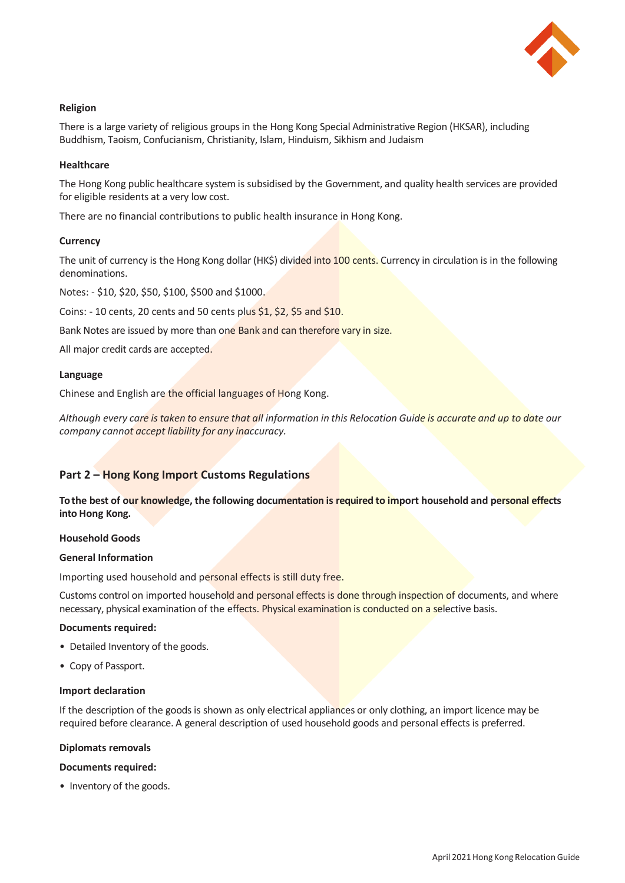

# **Religion**

There is a large variety of religious groups in the Hong Kong Special Administrative Region (HKSAR), including Buddhism, Taoism, Confucianism, Christianity, Islam, Hinduism, Sikhism and Judaism

#### **Healthcare**

The Hong Kong public healthcare system is subsidised by the Government, and quality health services are provided for eligible residents at a very low cost.

There are no financial contributions to public health insurance in Hong Kong.

#### **Currency**

The unit of currency is the Hong Kong dollar (HK\$) divided into 100 cents. Currency in circulation is in the following denominations.

Notes: - \$10, \$20, \$50, \$100, \$500 and \$1000.

Coins: - 10 cents, 20 cents and 50 cents plus \$1, \$2, \$5 and \$10.

Bank Notes are issued by more than one Bank and can therefore vary in size.

All major credit cards are accepted.

## **Language**

Chinese and English are the official languages of Hong Kong.

*Although every care is taken to ensure that all information in this Relocation Guide is accurate and up to date our company cannot accept liability for any inaccuracy.*

# **Part 2 – Hong Kong Import Customs Regulations**

**To the best of our knowledge, the following documentation is required to import household and personal effects into Hong Kong.**

#### **Household Goods**

#### **General Information**

Importing used household and personal effects is still duty free.

Customs control on imported household and personal effects is done through inspection of documents, and where necessary, physical examination of the effects. Physical examination is conducted on a selective basis.

#### **Documents required:**

- Detailed Inventory of the goods.
- Copy of Passport.

#### **Import declaration**

If the description of the goods is shown as only electrical appliances or only clothing, an import licence may be required before clearance. A general description of used household goods and personal effects is preferred.

#### **Diplomats removals**

#### **Documents required:**

• Inventory of the goods.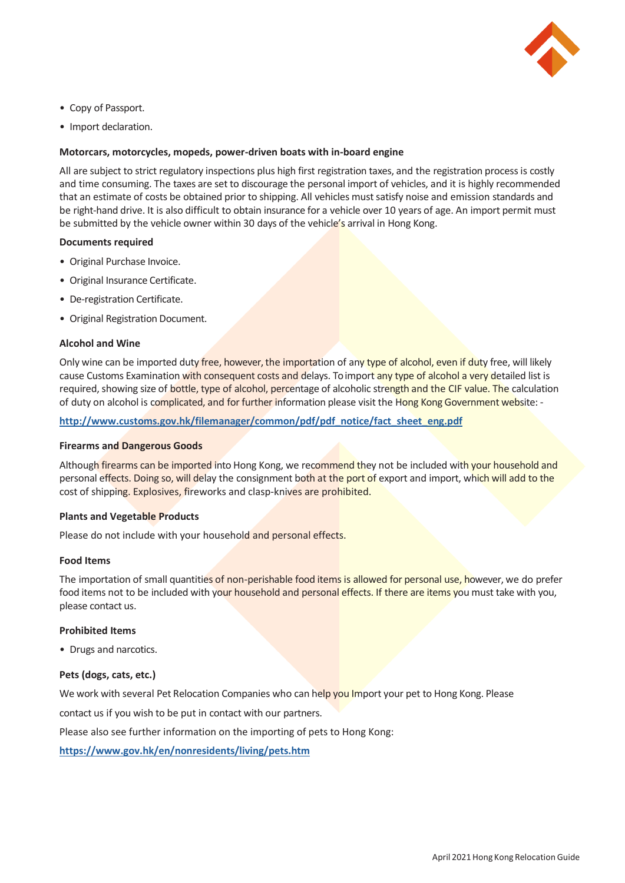

- Copy of Passport.
- Import declaration.

## **Motorcars, motorcycles, mopeds, power-driven boats with in-board engine**

All are subject to strict regulatory inspections plus high first registration taxes, and the registration process is costly and time consuming. The taxes are set to discourage the personal import of vehicles, and it is highly recommended that an estimate of costs be obtained prior to shipping. All vehicles must satisfy noise and emission standards and be right-hand drive. It is also difficult to obtain insurance for a vehicle over 10 years of age. An import permit must be submitted by the vehicle owner within 30 days of the vehicle's arrival in Hong Kong.

#### **Documents required**

- Original Purchase Invoice.
- Original Insurance Certificate.
- De-registration Certificate.
- Original Registration Document.

#### **Alcohol and Wine**

Only wine can be imported duty free, however, the importation of any type of alcohol, even if duty free, will likely cause Customs Examination with consequent costs and delays. To import any type of alcohol a very detailed list is required, showing size of bottle, type of alcohol, percentage of alcoholic strength and the CIF value. The calculation of duty on alcohol is complicated, and for further information please visit the Hong Kong Government website: -

**[http://www.customs.gov.hk/filemanager/common/pdf/pdf\\_notice/fact\\_sheet\\_eng.pdf](http://www.customs.gov.hk/filemanager/common/pdf/pdf_notice/fact_sheet_eng.pdf)**

#### **Firearms and Dangerous Goods**

Although firearms can be imported into Hong Kong, we recommend they not be included with your household and personal effects. Doing so, will delay the consignment both at the port of export and import, which will add to the cost of shipping. Explosives, fireworks and clasp-knives are prohibited.

#### **Plants and Vegetable Products**

Please do not include with your household and personal effects.

#### **Food Items**

The importation of small quantities of non-perishable food items is allowed for personal use, however, we do prefer food items not to be included with your household and personal effects. If there are items you must take with you, please contact us.

#### **Prohibited Items**

• Drugs and narcotics.

#### **Pets (dogs, cats, etc.)**

We work with several Pet Relocation Companies who can help you Import your pet to Hong Kong. Please

contact us if you wish to be put in contact with our partners.

Please also see further information on the importing of pets to Hong Kong:

**<https://www.gov.hk/en/nonresidents/living/pets.htm>**